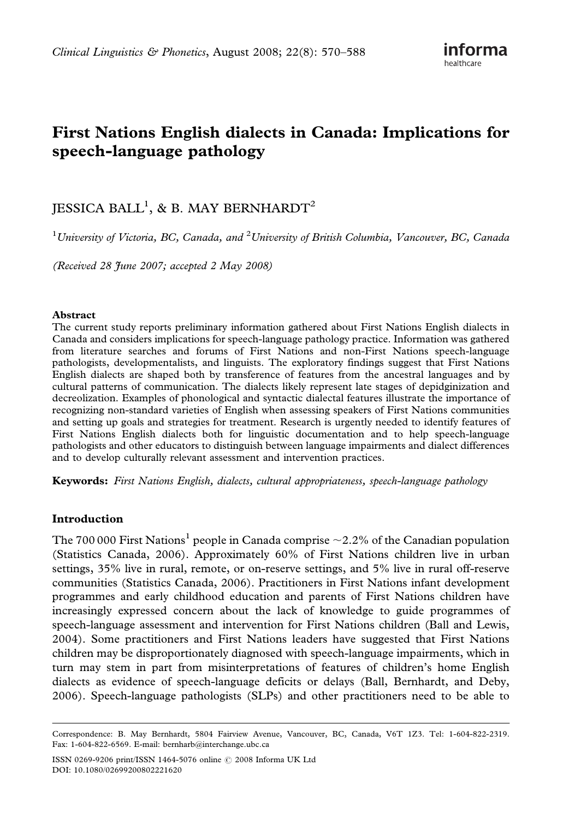# First Nations English dialects in Canada: Implications for speech-language pathology

## JESSICA BALL<sup>1</sup>, & B. MAY BERNHARDT<sup>2</sup>

<sup>1</sup> University of Victoria, BC, Canada, and <sup>2</sup> University of British Columbia, Vancouver, BC, Canada

(Received 28 June 2007; accepted 2 May 2008)

#### Abstract

The current study reports preliminary information gathered about First Nations English dialects in Canada and considers implications for speech-language pathology practice. Information was gathered from literature searches and forums of First Nations and non-First Nations speech-language pathologists, developmentalists, and linguists. The exploratory findings suggest that First Nations English dialects are shaped both by transference of features from the ancestral languages and by cultural patterns of communication. The dialects likely represent late stages of depidginization and decreolization. Examples of phonological and syntactic dialectal features illustrate the importance of recognizing non-standard varieties of English when assessing speakers of First Nations communities and setting up goals and strategies for treatment. Research is urgently needed to identify features of First Nations English dialects both for linguistic documentation and to help speech-language pathologists and other educators to distinguish between language impairments and dialect differences and to develop culturally relevant assessment and intervention practices.

Keywords: First Nations English, dialects, cultural appropriateness, speech-language pathology

## Introduction

The 700 000 First Nations<sup>1</sup> people in Canada comprise  $\sim$  2.2% of the Canadian population (Statistics Canada, 2006). Approximately 60% of First Nations children live in urban settings, 35% live in rural, remote, or on-reserve settings, and 5% live in rural off-reserve communities (Statistics Canada, 2006). Practitioners in First Nations infant development programmes and early childhood education and parents of First Nations children have increasingly expressed concern about the lack of knowledge to guide programmes of speech-language assessment and intervention for First Nations children (Ball and Lewis, 2004). Some practitioners and First Nations leaders have suggested that First Nations children may be disproportionately diagnosed with speech-language impairments, which in turn may stem in part from misinterpretations of features of children's home English dialects as evidence of speech-language deficits or delays (Ball, Bernhardt, and Deby, 2006). Speech-language pathologists (SLPs) and other practitioners need to be able to

Correspondence: B. May Bernhardt, 5804 Fairview Avenue, Vancouver, BC, Canada, V6T 1Z3. Tel: 1-604-822-2319. Fax: 1-604-822-6569. E-mail: bernharb@interchange.ubc.ca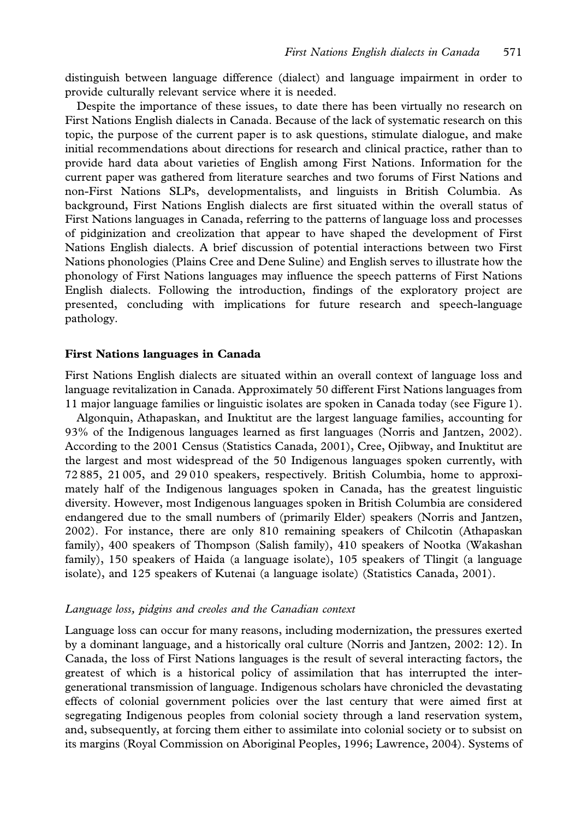distinguish between language difference (dialect) and language impairment in order to provide culturally relevant service where it is needed.

Despite the importance of these issues, to date there has been virtually no research on First Nations English dialects in Canada. Because of the lack of systematic research on this topic, the purpose of the current paper is to ask questions, stimulate dialogue, and make initial recommendations about directions for research and clinical practice, rather than to provide hard data about varieties of English among First Nations. Information for the current paper was gathered from literature searches and two forums of First Nations and non-First Nations SLPs, developmentalists, and linguists in British Columbia. As background, First Nations English dialects are first situated within the overall status of First Nations languages in Canada, referring to the patterns of language loss and processes of pidginization and creolization that appear to have shaped the development of First Nations English dialects. A brief discussion of potential interactions between two First Nations phonologies (Plains Cree and Dene Suline) and English serves to illustrate how the phonology of First Nations languages may influence the speech patterns of First Nations English dialects. Following the introduction, findings of the exploratory project are presented, concluding with implications for future research and speech-language pathology.

## First Nations languages in Canada

First Nations English dialects are situated within an overall context of language loss and language revitalization in Canada. Approximately 50 different First Nations languages from 11 major language families or linguistic isolates are spoken in Canada today (see Figure 1).

Algonquin, Athapaskan, and Inuktitut are the largest language families, accounting for 93% of the Indigenous languages learned as first languages (Norris and Jantzen, 2002). According to the 2001 Census (Statistics Canada, 2001), Cree, Ojibway, and Inuktitut are the largest and most widespread of the 50 Indigenous languages spoken currently, with 72 885, 21 005, and 29 010 speakers, respectively. British Columbia, home to approximately half of the Indigenous languages spoken in Canada, has the greatest linguistic diversity. However, most Indigenous languages spoken in British Columbia are considered endangered due to the small numbers of (primarily Elder) speakers (Norris and Jantzen, 2002). For instance, there are only 810 remaining speakers of Chilcotin (Athapaskan family), 400 speakers of Thompson (Salish family), 410 speakers of Nootka (Wakashan family), 150 speakers of Haida (a language isolate), 105 speakers of Tlingit (a language isolate), and 125 speakers of Kutenai (a language isolate) (Statistics Canada, 2001).

#### Language loss, pidgins and creoles and the Canadian context

Language loss can occur for many reasons, including modernization, the pressures exerted by a dominant language, and a historically oral culture (Norris and Jantzen, 2002: 12). In Canada, the loss of First Nations languages is the result of several interacting factors, the greatest of which is a historical policy of assimilation that has interrupted the intergenerational transmission of language. Indigenous scholars have chronicled the devastating effects of colonial government policies over the last century that were aimed first at segregating Indigenous peoples from colonial society through a land reservation system, and, subsequently, at forcing them either to assimilate into colonial society or to subsist on its margins (Royal Commission on Aboriginal Peoples, 1996; Lawrence, 2004). Systems of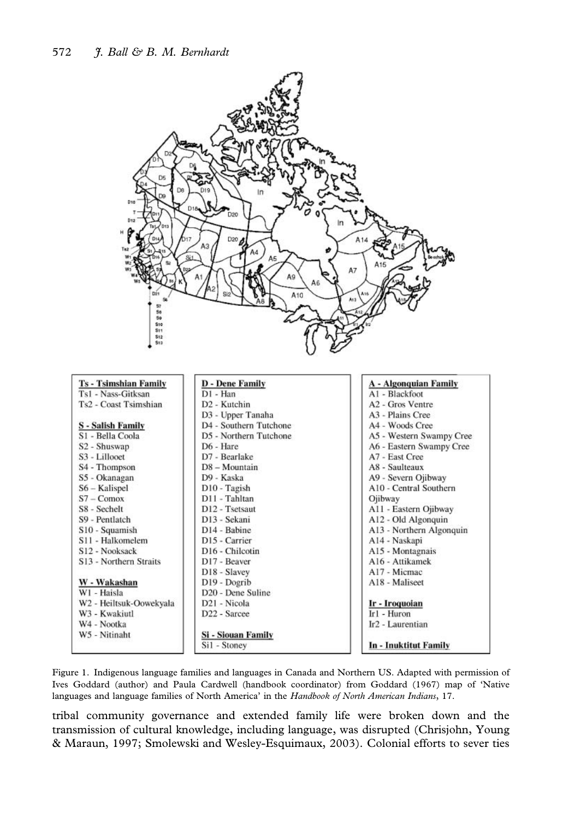

Figure 1. Indigenous language families and languages in Canada and Northern US. Adapted with permission of Ives Goddard (author) and Paula Cardwell (handbook coordinator) from Goddard (1967) map of 'Native languages and language families of North America' in the Handbook of North American Indians, 17.

tribal community governance and extended family life were broken down and the transmission of cultural knowledge, including language, was disrupted (Chrisjohn, Young & Maraun, 1997; Smolewski and Wesley-Esquimaux, 2003). Colonial efforts to sever ties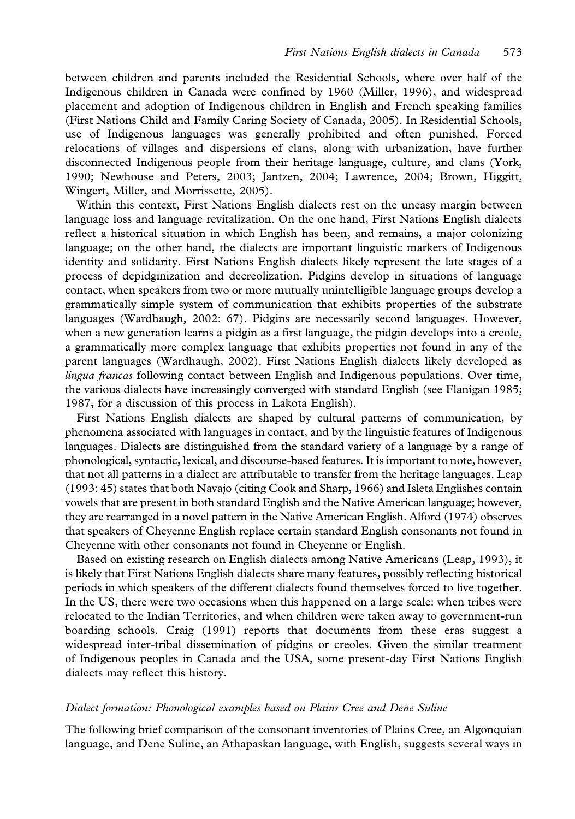between children and parents included the Residential Schools, where over half of the Indigenous children in Canada were confined by 1960 (Miller, 1996), and widespread placement and adoption of Indigenous children in English and French speaking families (First Nations Child and Family Caring Society of Canada, 2005). In Residential Schools, use of Indigenous languages was generally prohibited and often punished. Forced relocations of villages and dispersions of clans, along with urbanization, have further disconnected Indigenous people from their heritage language, culture, and clans (York, 1990; Newhouse and Peters, 2003; Jantzen, 2004; Lawrence, 2004; Brown, Higgitt, Wingert, Miller, and Morrissette, 2005).

Within this context, First Nations English dialects rest on the uneasy margin between language loss and language revitalization. On the one hand, First Nations English dialects reflect a historical situation in which English has been, and remains, a major colonizing language; on the other hand, the dialects are important linguistic markers of Indigenous identity and solidarity. First Nations English dialects likely represent the late stages of a process of depidginization and decreolization. Pidgins develop in situations of language contact, when speakers from two or more mutually unintelligible language groups develop a grammatically simple system of communication that exhibits properties of the substrate languages (Wardhaugh, 2002: 67). Pidgins are necessarily second languages. However, when a new generation learns a pidgin as a first language, the pidgin develops into a creole, a grammatically more complex language that exhibits properties not found in any of the parent languages (Wardhaugh, 2002). First Nations English dialects likely developed as lingua francas following contact between English and Indigenous populations. Over time, the various dialects have increasingly converged with standard English (see Flanigan 1985; 1987, for a discussion of this process in Lakota English).

First Nations English dialects are shaped by cultural patterns of communication, by phenomena associated with languages in contact, and by the linguistic features of Indigenous languages. Dialects are distinguished from the standard variety of a language by a range of phonological, syntactic, lexical, and discourse-based features. It is important to note, however, that not all patterns in a dialect are attributable to transfer from the heritage languages. Leap (1993: 45) states that both Navajo (citing Cook and Sharp, 1966) and Isleta Englishes contain vowels that are present in both standard English and the Native American language; however, they are rearranged in a novel pattern in the Native American English. Alford (1974) observes that speakers of Cheyenne English replace certain standard English consonants not found in Cheyenne with other consonants not found in Cheyenne or English.

Based on existing research on English dialects among Native Americans (Leap, 1993), it is likely that First Nations English dialects share many features, possibly reflecting historical periods in which speakers of the different dialects found themselves forced to live together. In the US, there were two occasions when this happened on a large scale: when tribes were relocated to the Indian Territories, and when children were taken away to government-run boarding schools. Craig (1991) reports that documents from these eras suggest a widespread inter-tribal dissemination of pidgins or creoles. Given the similar treatment of Indigenous peoples in Canada and the USA, some present-day First Nations English dialects may reflect this history.

## Dialect formation: Phonological examples based on Plains Cree and Dene Suline

The following brief comparison of the consonant inventories of Plains Cree, an Algonquian language, and Dene Suline, an Athapaskan language, with English, suggests several ways in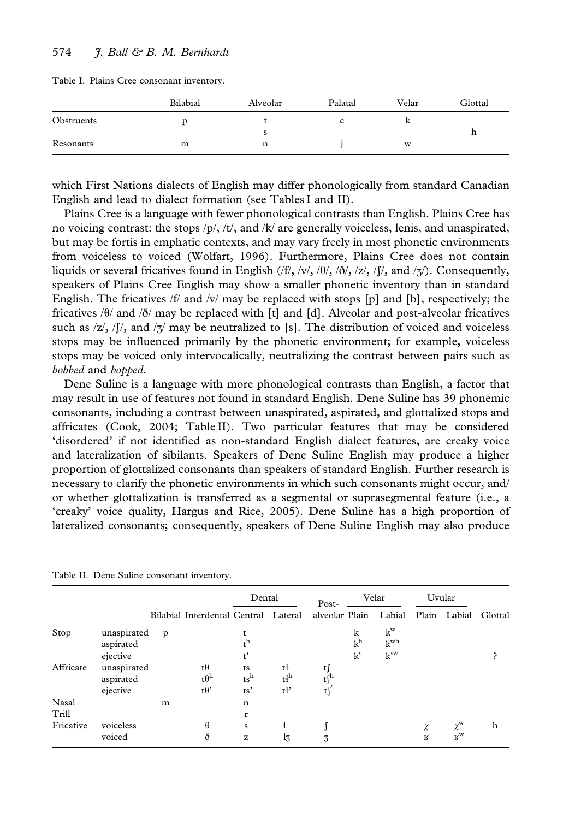|            | Bilabial | Alveolar | Palatal | Velar | Glottal |  |
|------------|----------|----------|---------|-------|---------|--|
| Obstruents |          |          | c       | ĸ     |         |  |
|            |          |          |         |       | n       |  |
| Resonants  | m        | n        |         | W     |         |  |

Table I. Plains Cree consonant inventory.

which First Nations dialects of English may differ phonologically from standard Canadian English and lead to dialect formation (see Tables I and II).

Plains Cree is a language with fewer phonological contrasts than English. Plains Cree has no voicing contrast: the stops  $/p/$ ,  $/t/$ , and  $/k/$  are generally voiceless, lenis, and unaspirated, but may be fortis in emphatic contexts, and may vary freely in most phonetic environments from voiceless to voiced (Wolfart, 1996). Furthermore, Plains Cree does not contain liquids or several fricatives found in English (/f/, /v/, / $\theta$ /, / $\delta$ /, /z/, / $\int$ /, and / $\tau$ /). Consequently, speakers of Plains Cree English may show a smaller phonetic inventory than in standard English. The fricatives  $\frac{f}{f}$  and  $\frac{f}{g}$  may be replaced with stops  $[p]$  and  $[b]$ , respectively; the fricatives  $\theta$  and  $\delta$  may be replaced with [t] and [d]. Alveolar and post-alveolar fricatives such as  $|z|$ ,  $\int$ /, and  $|z|$  may be neutralized to [s]. The distribution of voiced and voiceless stops may be influenced primarily by the phonetic environment; for example, voiceless stops may be voiced only intervocalically, neutralizing the contrast between pairs such as bobbed and bopped.

Dene Suline is a language with more phonological contrasts than English, a factor that may result in use of features not found in standard English. Dene Suline has 39 phonemic consonants, including a contrast between unaspirated, aspirated, and glottalized stops and affricates (Cook, 2004; Table II). Two particular features that may be considered 'disordered' if not identified as non-standard English dialect features, are creaky voice and lateralization of sibilants. Speakers of Dene Suline English may produce a higher proportion of glottalized consonants than speakers of standard English. Further research is necessary to clarify the phonetic environments in which such consonants might occur, and/ or whether glottalization is transferred as a segmental or suprasegmental feature (i.e., a 'creaky' voice quality, Hargus and Rice, 2005). Dene Suline has a high proportion of lateralized consonants; consequently, speakers of Dene Suline English may also produce

|                |                                      |   |                                      | Dental                                  |                              | Post-          | Velar                      |                               | Uvular |                                             |         |
|----------------|--------------------------------------|---|--------------------------------------|-----------------------------------------|------------------------------|----------------|----------------------------|-------------------------------|--------|---------------------------------------------|---------|
|                |                                      |   | Bilabial Interdental Central Lateral |                                         |                              | alveolar Plain |                            | Labial                        | Plain  | Labial                                      | Glottal |
| Stop           | unaspirated<br>aspirated<br>ejective | p |                                      | $\downarrow$ h<br>ť                     |                              |                | k<br>$k^h$<br>$k^{\prime}$ | $k^w$<br>$k^{wh}$<br>$k^{sw}$ |        |                                             |         |
| Affricate      | unaspirated<br>aspirated<br>ejective |   | tθ<br>$t\theta^h$<br>$t\theta$       | ts<br>$\mathrm{ts}^{\mathrm{h}}$<br>ts' | tł<br>$t^{\text{th}}$<br>tł' | t∫<br>$tf^h$   |                            |                               |        |                                             |         |
| Nasal<br>Trill |                                      | m |                                      | $\mathbf n$<br>r                        |                              |                |                            |                               |        |                                             |         |
| Fricative      | voiceless<br>voiced                  |   | θ<br>ð                               | s<br>z                                  | $\frac{1}{2}$<br>13          | 3              |                            |                               | χ<br>К | $\chi^{\rm w}$<br>$\mathbf{R}_{\mathrm{m}}$ | h       |

Table II. Dene Suline consonant inventory.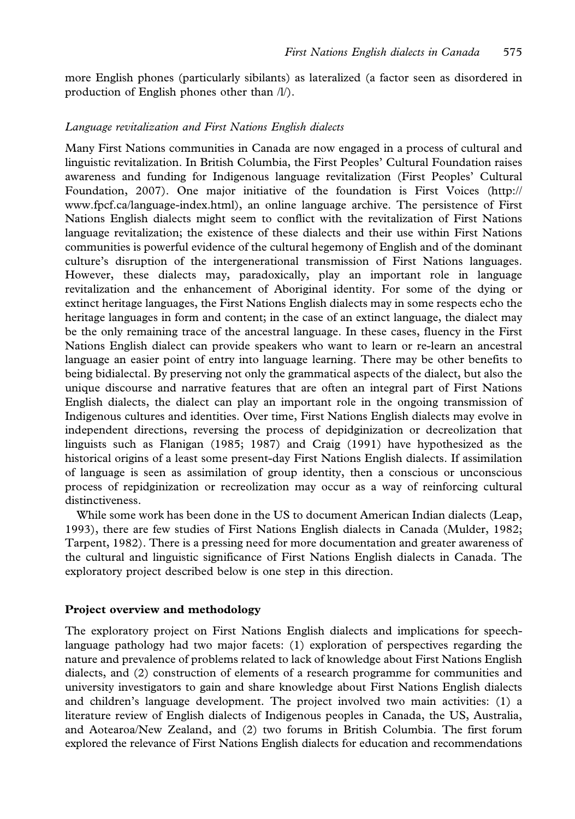more English phones (particularly sibilants) as lateralized (a factor seen as disordered in production of English phones other than /l/).

## Language revitalization and First Nations English dialects

Many First Nations communities in Canada are now engaged in a process of cultural and linguistic revitalization. In British Columbia, the First Peoples' Cultural Foundation raises awareness and funding for Indigenous language revitalization (First Peoples' Cultural Foundation, 2007). One major initiative of the foundation is First Voices (http:// www.fpcf.ca/language-index.html), an online language archive. The persistence of First Nations English dialects might seem to conflict with the revitalization of First Nations language revitalization; the existence of these dialects and their use within First Nations communities is powerful evidence of the cultural hegemony of English and of the dominant culture's disruption of the intergenerational transmission of First Nations languages. However, these dialects may, paradoxically, play an important role in language revitalization and the enhancement of Aboriginal identity. For some of the dying or extinct heritage languages, the First Nations English dialects may in some respects echo the heritage languages in form and content; in the case of an extinct language, the dialect may be the only remaining trace of the ancestral language. In these cases, fluency in the First Nations English dialect can provide speakers who want to learn or re-learn an ancestral language an easier point of entry into language learning. There may be other benefits to being bidialectal. By preserving not only the grammatical aspects of the dialect, but also the unique discourse and narrative features that are often an integral part of First Nations English dialects, the dialect can play an important role in the ongoing transmission of Indigenous cultures and identities. Over time, First Nations English dialects may evolve in independent directions, reversing the process of depidginization or decreolization that linguists such as Flanigan (1985; 1987) and Craig (1991) have hypothesized as the historical origins of a least some present-day First Nations English dialects. If assimilation of language is seen as assimilation of group identity, then a conscious or unconscious process of repidginization or recreolization may occur as a way of reinforcing cultural distinctiveness.

While some work has been done in the US to document American Indian dialects (Leap, 1993), there are few studies of First Nations English dialects in Canada (Mulder, 1982; Tarpent, 1982). There is a pressing need for more documentation and greater awareness of the cultural and linguistic significance of First Nations English dialects in Canada. The exploratory project described below is one step in this direction.

## Project overview and methodology

The exploratory project on First Nations English dialects and implications for speechlanguage pathology had two major facets: (1) exploration of perspectives regarding the nature and prevalence of problems related to lack of knowledge about First Nations English dialects, and (2) construction of elements of a research programme for communities and university investigators to gain and share knowledge about First Nations English dialects and children's language development. The project involved two main activities: (1) a literature review of English dialects of Indigenous peoples in Canada, the US, Australia, and Aotearoa/New Zealand, and (2) two forums in British Columbia. The first forum explored the relevance of First Nations English dialects for education and recommendations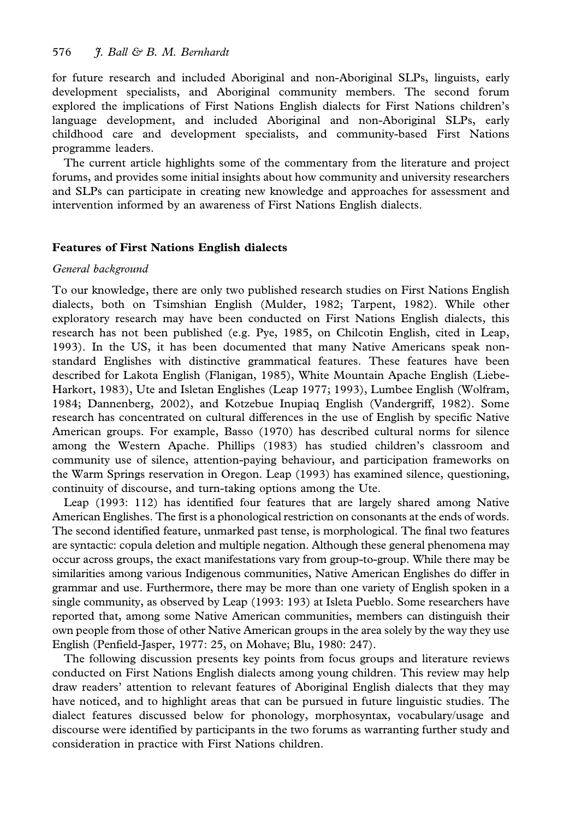for future research and included Aboriginal and non-Aboriginal SLPs, linguists, early development specialists, and Aboriginal community members. The second forum explored the implications of First Nations English dialects for First Nations children's language development, and included Aboriginal and non-Aboriginal SLPs, early childhood care and development specialists, and community-based First Nations programme leaders.

The current article highlights some of the commentary from the literature and project forums, and provides some initial insights about how community and university researchers and SLPs can participate in creating new knowledge and approaches for assessment and intervention informed by an awareness of First Nations English dialects.

#### Features of First Nations English dialects

#### General background

To our knowledge, there are only two published research studies on First Nations English dialects, both on Tsimshian English (Mulder, 1982; Tarpent, 1982). While other exploratory research may have been conducted on First Nations English dialects, this research has not been published (e.g. Pye, 1985, on Chilcotin English, cited in Leap, 1993). In the US, it has been documented that many Native Americans speak nonstandard Englishes with distinctive grammatical features. These features have been described for Lakota English (Flanigan, 1985), White Mountain Apache English (Liebe-Harkort, 1983), Ute and Isletan Englishes (Leap 1977; 1993), Lumbee English (Wolfram, 1984; Dannenberg, 2002), and Kotzebue Inupiaq English (Vandergriff, 1982). Some research has concentrated on cultural differences in the use of English by specific Native American groups. For example, Basso (1970) has described cultural norms for silence among the Western Apache. Phillips (1983) has studied children's classroom and community use of silence, attention-paying behaviour, and participation frameworks on the Warm Springs reservation in Oregon. Leap (1993) has examined silence, questioning, continuity of discourse, and turn-taking options among the Ute.

Leap (1993: 112) has identified four features that are largely shared among Native American Englishes. The first is a phonological restriction on consonants at the ends of words. The second identified feature, unmarked past tense, is morphological. The final two features are syntactic: copula deletion and multiple negation. Although these general phenomena may occur across groups, the exact manifestations vary from group-to-group. While there may be similarities among various Indigenous communities, Native American Englishes do differ in grammar and use. Furthermore, there may be more than one variety of English spoken in a single community, as observed by Leap (1993: 193) at Isleta Pueblo. Some researchers have reported that, among some Native American communities, members can distinguish their own people from those of other Native American groups in the area solely by the way they use English (Penfield-Jasper, 1977: 25, on Mohave; Blu, 1980: 247).

The following discussion presents key points from focus groups and literature reviews conducted on First Nations English dialects among young children. This review may help draw readers' attention to relevant features of Aboriginal English dialects that they may have noticed, and to highlight areas that can be pursued in future linguistic studies. The dialect features discussed below for phonology, morphosyntax, vocabulary/usage and discourse were identified by participants in the two forums as warranting further study and consideration in practice with First Nations children.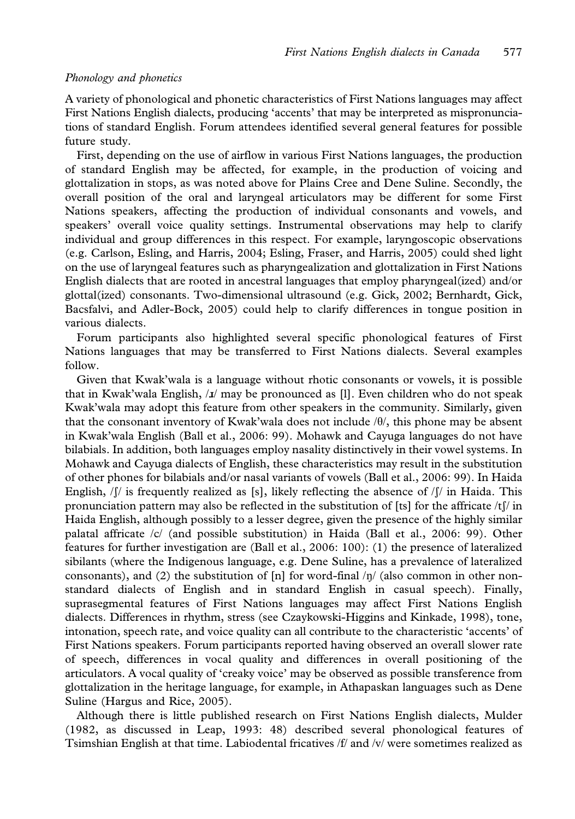#### Phonology and phonetics

A variety of phonological and phonetic characteristics of First Nations languages may affect First Nations English dialects, producing 'accents' that may be interpreted as mispronunciations of standard English. Forum attendees identified several general features for possible future study.

First, depending on the use of airflow in various First Nations languages, the production of standard English may be affected, for example, in the production of voicing and glottalization in stops, as was noted above for Plains Cree and Dene Suline. Secondly, the overall position of the oral and laryngeal articulators may be different for some First Nations speakers, affecting the production of individual consonants and vowels, and speakers' overall voice quality settings. Instrumental observations may help to clarify individual and group differences in this respect. For example, laryngoscopic observations (e.g. Carlson, Esling, and Harris, 2004; Esling, Fraser, and Harris, 2005) could shed light on the use of laryngeal features such as pharyngealization and glottalization in First Nations English dialects that are rooted in ancestral languages that employ pharyngeal(ized) and/or glottal(ized) consonants. Two-dimensional ultrasound (e.g. Gick, 2002; Bernhardt, Gick, Bacsfalvi, and Adler-Bock, 2005) could help to clarify differences in tongue position in various dialects.

Forum participants also highlighted several specific phonological features of First Nations languages that may be transferred to First Nations dialects. Several examples follow.

Given that Kwak'wala is a language without rhotic consonants or vowels, it is possible that in Kwak'wala English,  $\Delta t$  may be pronounced as [1]. Even children who do not speak Kwak'wala may adopt this feature from other speakers in the community. Similarly, given that the consonant inventory of Kwak'wala does not include  $/\theta$ , this phone may be absent in Kwak'wala English (Ball et al., 2006: 99). Mohawk and Cayuga languages do not have bilabials. In addition, both languages employ nasality distinctively in their vowel systems. In Mohawk and Cayuga dialects of English, these characteristics may result in the substitution of other phones for bilabials and/or nasal variants of vowels (Ball et al., 2006: 99). In Haida English,  $\int \int$  is frequently realized as [s], likely reflecting the absence of  $\int \int \int$  in Haida. This pronunciation pattern may also be reflected in the substitution of [ts] for the affricate  $/t$  [ $\prime$  in Haida English, although possibly to a lesser degree, given the presence of the highly similar palatal affricate /c/ (and possible substitution) in Haida (Ball et al., 2006: 99). Other features for further investigation are (Ball et al., 2006: 100): (1) the presence of lateralized sibilants (where the Indigenous language, e.g. Dene Suline, has a prevalence of lateralized consonants), and (2) the substitution of [n] for word-final  $/\eta$  (also common in other nonstandard dialects of English and in standard English in casual speech). Finally, suprasegmental features of First Nations languages may affect First Nations English dialects. Differences in rhythm, stress (see Czaykowski-Higgins and Kinkade, 1998), tone, intonation, speech rate, and voice quality can all contribute to the characteristic 'accents' of First Nations speakers. Forum participants reported having observed an overall slower rate of speech, differences in vocal quality and differences in overall positioning of the articulators. A vocal quality of 'creaky voice' may be observed as possible transference from glottalization in the heritage language, for example, in Athapaskan languages such as Dene Suline (Hargus and Rice, 2005).

Although there is little published research on First Nations English dialects, Mulder (1982, as discussed in Leap, 1993: 48) described several phonological features of Tsimshian English at that time. Labiodental fricatives /f/ and /v/ were sometimes realized as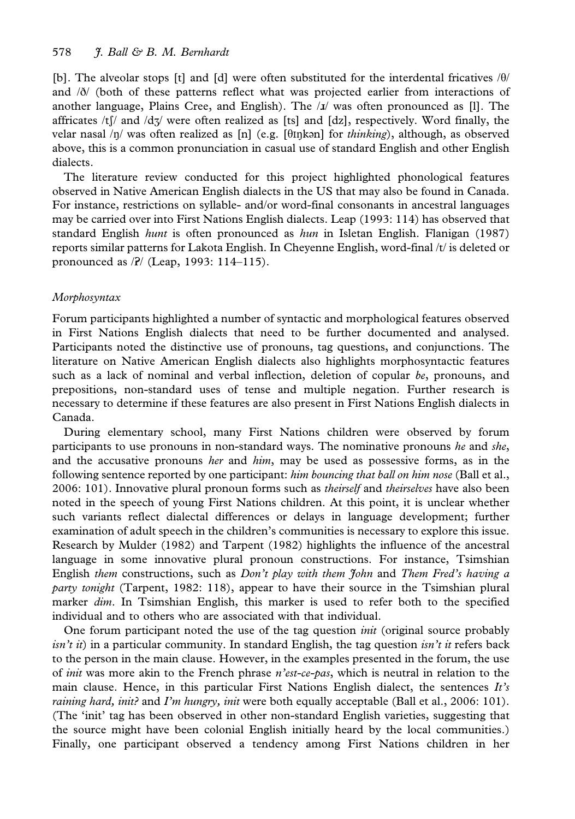[b]. The alveolar stops [t] and [d] were often substituted for the interdental fricatives  $/\theta$ and /ð/ (both of these patterns reflect what was projected earlier from interactions of another language, Plains Cree, and English). The  $\lambda$  was often pronounced as [1]. The affricates /tf/ and /d $\tau/$  were often realized as [ts] and [dz], respectively. Word finally, the velar nasal /n/ was often realized as [n] (e.g. [ $\theta$ Inkən] for *thinking*), although, as observed above, this is a common pronunciation in casual use of standard English and other English dialects.

The literature review conducted for this project highlighted phonological features observed in Native American English dialects in the US that may also be found in Canada. For instance, restrictions on syllable- and/or word-final consonants in ancestral languages may be carried over into First Nations English dialects. Leap (1993: 114) has observed that standard English hunt is often pronounced as hun in Isletan English. Flanigan (1987) reports similar patterns for Lakota English. In Cheyenne English, word-final /t/ is deleted or pronounced as /?/ (Leap, 1993: 114–115).

## Morphosyntax

Forum participants highlighted a number of syntactic and morphological features observed in First Nations English dialects that need to be further documented and analysed. Participants noted the distinctive use of pronouns, tag questions, and conjunctions. The literature on Native American English dialects also highlights morphosyntactic features such as a lack of nominal and verbal inflection, deletion of copular  $be$ , pronouns, and prepositions, non-standard uses of tense and multiple negation. Further research is necessary to determine if these features are also present in First Nations English dialects in Canada.

During elementary school, many First Nations children were observed by forum participants to use pronouns in non-standard ways. The nominative pronouns he and she, and the accusative pronouns *her* and *him*, may be used as possessive forms, as in the following sentence reported by one participant: him bouncing that ball on him nose (Ball et al., 2006: 101). Innovative plural pronoun forms such as *theirself* and *theirselves* have also been noted in the speech of young First Nations children. At this point, it is unclear whether such variants reflect dialectal differences or delays in language development; further examination of adult speech in the children's communities is necessary to explore this issue. Research by Mulder (1982) and Tarpent (1982) highlights the influence of the ancestral language in some innovative plural pronoun constructions. For instance, Tsimshian English them constructions, such as  $Don't$  play with them John and Them Fred's having a party tonight (Tarpent, 1982: 118), appear to have their source in the Tsimshian plural marker *dim*. In Tsimshian English, this marker is used to refer both to the specified individual and to others who are associated with that individual.

One forum participant noted the use of the tag question *init* (original source probably  $\sin' i$  it) in a particular community. In standard English, the tag question  $\sin' i$  it refers back to the person in the main clause. However, in the examples presented in the forum, the use of *init* was more akin to the French phrase *n'est-ce-pas*, which is neutral in relation to the main clause. Hence, in this particular First Nations English dialect, the sentences  $It's$ raining hard, init? and I'm hungry, init were both equally acceptable (Ball et al., 2006: 101). (The 'init' tag has been observed in other non-standard English varieties, suggesting that the source might have been colonial English initially heard by the local communities.) Finally, one participant observed a tendency among First Nations children in her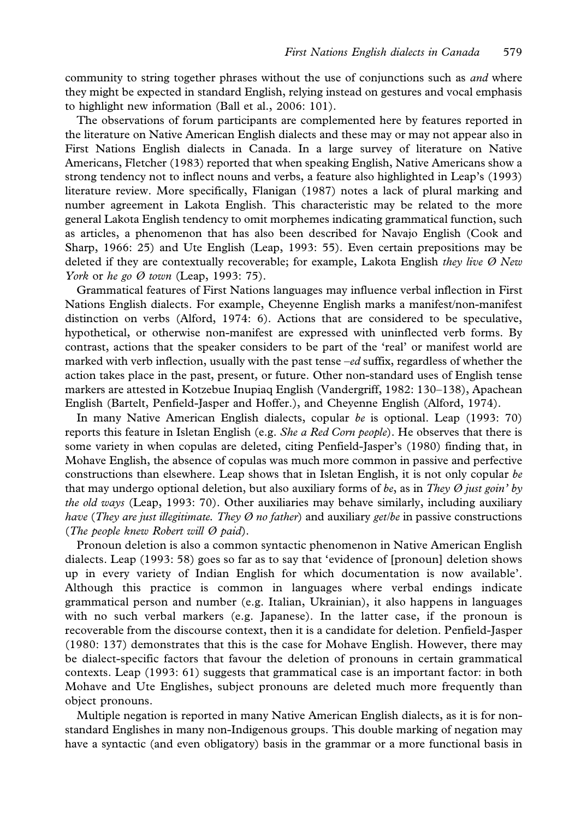community to string together phrases without the use of conjunctions such as *and* where they might be expected in standard English, relying instead on gestures and vocal emphasis to highlight new information (Ball et al., 2006: 101).

The observations of forum participants are complemented here by features reported in the literature on Native American English dialects and these may or may not appear also in First Nations English dialects in Canada. In a large survey of literature on Native Americans, Fletcher (1983) reported that when speaking English, Native Americans show a strong tendency not to inflect nouns and verbs, a feature also highlighted in Leap's (1993) literature review. More specifically, Flanigan (1987) notes a lack of plural marking and number agreement in Lakota English. This characteristic may be related to the more general Lakota English tendency to omit morphemes indicating grammatical function, such as articles, a phenomenon that has also been described for Navajo English (Cook and Sharp, 1966: 25) and Ute English (Leap, 1993: 55). Even certain prepositions may be deleted if they are contextually recoverable; for example, Lakota English they live  $\emptyset$  New York or he go  $\emptyset$  town (Leap, 1993: 75).

Grammatical features of First Nations languages may influence verbal inflection in First Nations English dialects. For example, Cheyenne English marks a manifest/non-manifest distinction on verbs (Alford, 1974: 6). Actions that are considered to be speculative, hypothetical, or otherwise non-manifest are expressed with uninflected verb forms. By contrast, actions that the speaker considers to be part of the 'real' or manifest world are marked with verb inflection, usually with the past tense  $-e$ d suffix, regardless of whether the action takes place in the past, present, or future. Other non-standard uses of English tense markers are attested in Kotzebue Inupiaq English (Vandergriff, 1982: 130–138), Apachean English (Bartelt, Penfield-Jasper and Hoffer.), and Cheyenne English (Alford, 1974).

In many Native American English dialects, copular be is optional. Leap (1993: 70) reports this feature in Isletan English (e.g. *She a Red Corn people*). He observes that there is some variety in when copulas are deleted, citing Penfield-Jasper's (1980) finding that, in Mohave English, the absence of copulas was much more common in passive and perfective constructions than elsewhere. Leap shows that in Isletan English, it is not only copular be that may undergo optional deletion, but also auxiliary forms of be, as in They  $\emptyset$  just goin' by the old ways (Leap, 1993: 70). Other auxiliaries may behave similarly, including auxiliary have (They are just illegitimate. They  $\emptyset$  no father) and auxiliary get/be in passive constructions (The people knew Robert will  $\emptyset$  paid).

Pronoun deletion is also a common syntactic phenomenon in Native American English dialects. Leap (1993: 58) goes so far as to say that 'evidence of [pronoun] deletion shows up in every variety of Indian English for which documentation is now available'. Although this practice is common in languages where verbal endings indicate grammatical person and number (e.g. Italian, Ukrainian), it also happens in languages with no such verbal markers (e.g. Japanese). In the latter case, if the pronoun is recoverable from the discourse context, then it is a candidate for deletion. Penfield-Jasper (1980: 137) demonstrates that this is the case for Mohave English. However, there may be dialect-specific factors that favour the deletion of pronouns in certain grammatical contexts. Leap (1993: 61) suggests that grammatical case is an important factor: in both Mohave and Ute Englishes, subject pronouns are deleted much more frequently than object pronouns.

Multiple negation is reported in many Native American English dialects, as it is for nonstandard Englishes in many non-Indigenous groups. This double marking of negation may have a syntactic (and even obligatory) basis in the grammar or a more functional basis in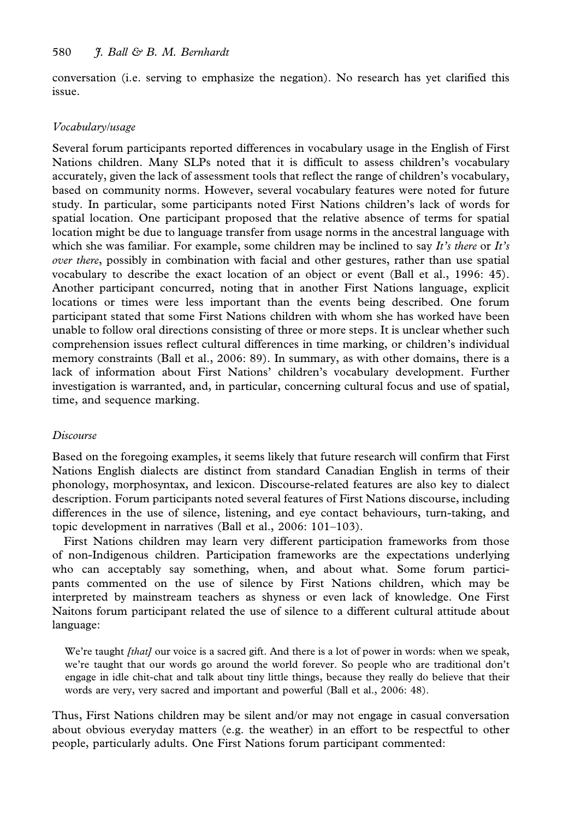conversation (i.e. serving to emphasize the negation). No research has yet clarified this issue.

#### Vocabulary/usage

Several forum participants reported differences in vocabulary usage in the English of First Nations children. Many SLPs noted that it is difficult to assess children's vocabulary accurately, given the lack of assessment tools that reflect the range of children's vocabulary, based on community norms. However, several vocabulary features were noted for future study. In particular, some participants noted First Nations children's lack of words for spatial location. One participant proposed that the relative absence of terms for spatial location might be due to language transfer from usage norms in the ancestral language with which she was familiar. For example, some children may be inclined to say  $It's$  there or  $It's$ over there, possibly in combination with facial and other gestures, rather than use spatial vocabulary to describe the exact location of an object or event (Ball et al., 1996: 45). Another participant concurred, noting that in another First Nations language, explicit locations or times were less important than the events being described. One forum participant stated that some First Nations children with whom she has worked have been unable to follow oral directions consisting of three or more steps. It is unclear whether such comprehension issues reflect cultural differences in time marking, or children's individual memory constraints (Ball et al., 2006: 89). In summary, as with other domains, there is a lack of information about First Nations' children's vocabulary development. Further investigation is warranted, and, in particular, concerning cultural focus and use of spatial, time, and sequence marking.

## Discourse

Based on the foregoing examples, it seems likely that future research will confirm that First Nations English dialects are distinct from standard Canadian English in terms of their phonology, morphosyntax, and lexicon. Discourse-related features are also key to dialect description. Forum participants noted several features of First Nations discourse, including differences in the use of silence, listening, and eye contact behaviours, turn-taking, and topic development in narratives (Ball et al., 2006: 101–103).

First Nations children may learn very different participation frameworks from those of non-Indigenous children. Participation frameworks are the expectations underlying who can acceptably say something, when, and about what. Some forum participants commented on the use of silence by First Nations children, which may be interpreted by mainstream teachers as shyness or even lack of knowledge. One First Naitons forum participant related the use of silence to a different cultural attitude about language:

We're taught *[that]* our voice is a sacred gift. And there is a lot of power in words: when we speak, we're taught that our words go around the world forever. So people who are traditional don't engage in idle chit-chat and talk about tiny little things, because they really do believe that their words are very, very sacred and important and powerful (Ball et al., 2006: 48).

Thus, First Nations children may be silent and/or may not engage in casual conversation about obvious everyday matters (e.g. the weather) in an effort to be respectful to other people, particularly adults. One First Nations forum participant commented: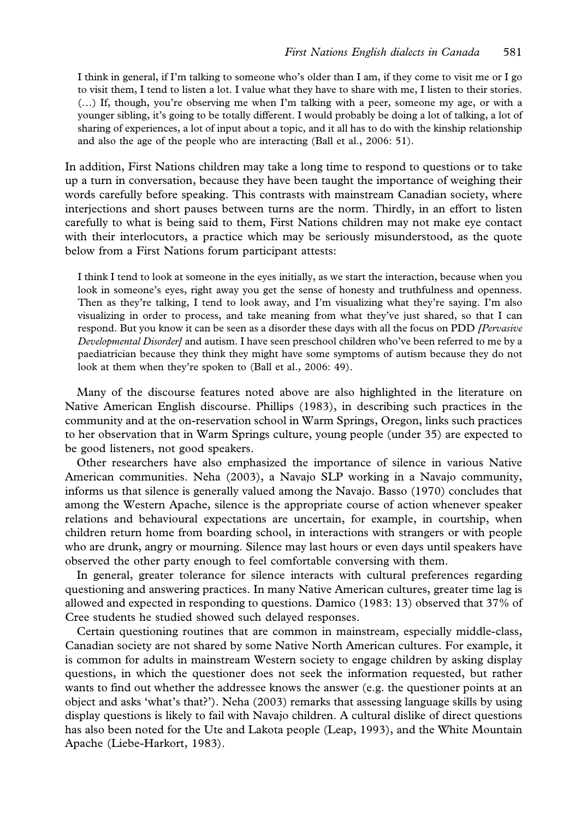I think in general, if I'm talking to someone who's older than I am, if they come to visit me or I go to visit them, I tend to listen a lot. I value what they have to share with me, I listen to their stories. (…) If, though, you're observing me when I'm talking with a peer, someone my age, or with a younger sibling, it's going to be totally different. I would probably be doing a lot of talking, a lot of sharing of experiences, a lot of input about a topic, and it all has to do with the kinship relationship and also the age of the people who are interacting (Ball et al., 2006: 51).

In addition, First Nations children may take a long time to respond to questions or to take up a turn in conversation, because they have been taught the importance of weighing their words carefully before speaking. This contrasts with mainstream Canadian society, where interjections and short pauses between turns are the norm. Thirdly, in an effort to listen carefully to what is being said to them, First Nations children may not make eye contact with their interlocutors, a practice which may be seriously misunderstood, as the quote below from a First Nations forum participant attests:

I think I tend to look at someone in the eyes initially, as we start the interaction, because when you look in someone's eyes, right away you get the sense of honesty and truthfulness and openness. Then as they're talking, I tend to look away, and I'm visualizing what they're saying. I'm also visualizing in order to process, and take meaning from what they've just shared, so that I can respond. But you know it can be seen as a disorder these days with all the focus on PDD [Pervasive Developmental Disorder] and autism. I have seen preschool children who've been referred to me by a paediatrician because they think they might have some symptoms of autism because they do not look at them when they're spoken to (Ball et al., 2006: 49).

Many of the discourse features noted above are also highlighted in the literature on Native American English discourse. Phillips (1983), in describing such practices in the community and at the on-reservation school in Warm Springs, Oregon, links such practices to her observation that in Warm Springs culture, young people (under 35) are expected to be good listeners, not good speakers.

Other researchers have also emphasized the importance of silence in various Native American communities. Neha (2003), a Navajo SLP working in a Navajo community, informs us that silence is generally valued among the Navajo. Basso (1970) concludes that among the Western Apache, silence is the appropriate course of action whenever speaker relations and behavioural expectations are uncertain, for example, in courtship, when children return home from boarding school, in interactions with strangers or with people who are drunk, angry or mourning. Silence may last hours or even days until speakers have observed the other party enough to feel comfortable conversing with them.

In general, greater tolerance for silence interacts with cultural preferences regarding questioning and answering practices. In many Native American cultures, greater time lag is allowed and expected in responding to questions. Damico (1983: 13) observed that 37% of Cree students he studied showed such delayed responses.

Certain questioning routines that are common in mainstream, especially middle-class, Canadian society are not shared by some Native North American cultures. For example, it is common for adults in mainstream Western society to engage children by asking display questions, in which the questioner does not seek the information requested, but rather wants to find out whether the addressee knows the answer (e.g. the questioner points at an object and asks 'what's that?'). Neha (2003) remarks that assessing language skills by using display questions is likely to fail with Navajo children. A cultural dislike of direct questions has also been noted for the Ute and Lakota people (Leap, 1993), and the White Mountain Apache (Liebe-Harkort, 1983).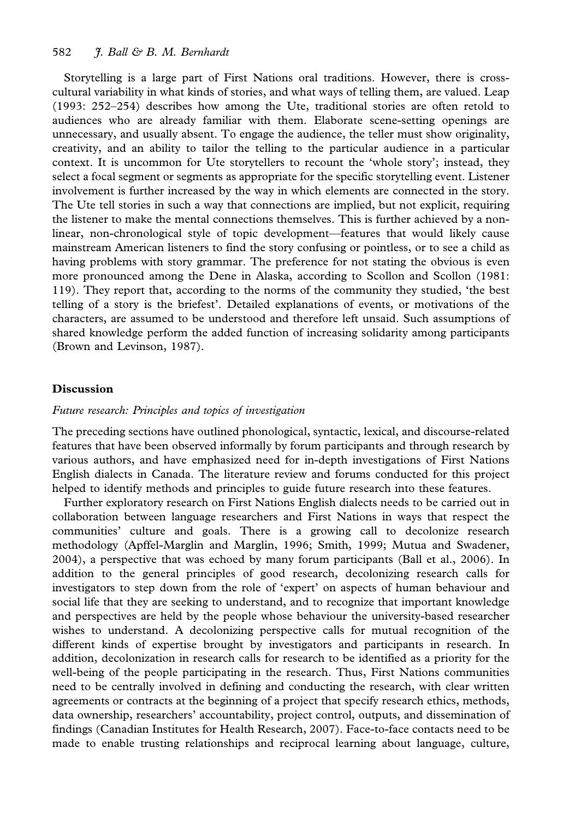Storytelling is a large part of First Nations oral traditions. However, there is crosscultural variability in what kinds of stories, and what ways of telling them, are valued. Leap (1993: 252–254) describes how among the Ute, traditional stories are often retold to audiences who are already familiar with them. Elaborate scene-setting openings are unnecessary, and usually absent. To engage the audience, the teller must show originality, creativity, and an ability to tailor the telling to the particular audience in a particular context. It is uncommon for Ute storytellers to recount the 'whole story'; instead, they select a focal segment or segments as appropriate for the specific storytelling event. Listener involvement is further increased by the way in which elements are connected in the story. The Ute tell stories in such a way that connections are implied, but not explicit, requiring the listener to make the mental connections themselves. This is further achieved by a nonlinear, non-chronological style of topic development—features that would likely cause mainstream American listeners to find the story confusing or pointless, or to see a child as having problems with story grammar. The preference for not stating the obvious is even more pronounced among the Dene in Alaska, according to Scollon and Scollon (1981: 119). They report that, according to the norms of the community they studied, 'the best telling of a story is the briefest'. Detailed explanations of events, or motivations of the characters, are assumed to be understood and therefore left unsaid. Such assumptions of shared knowledge perform the added function of increasing solidarity among participants (Brown and Levinson, 1987).

## Discussion

#### Future research: Principles and topics of investigation

The preceding sections have outlined phonological, syntactic, lexical, and discourse-related features that have been observed informally by forum participants and through research by various authors, and have emphasized need for in-depth investigations of First Nations English dialects in Canada. The literature review and forums conducted for this project helped to identify methods and principles to guide future research into these features.

Further exploratory research on First Nations English dialects needs to be carried out in collaboration between language researchers and First Nations in ways that respect the communities' culture and goals. There is a growing call to decolonize research methodology (Apffel-Marglin and Marglin, 1996; Smith, 1999; Mutua and Swadener, 2004), a perspective that was echoed by many forum participants (Ball et al., 2006). In addition to the general principles of good research, decolonizing research calls for investigators to step down from the role of 'expert' on aspects of human behaviour and social life that they are seeking to understand, and to recognize that important knowledge and perspectives are held by the people whose behaviour the university-based researcher wishes to understand. A decolonizing perspective calls for mutual recognition of the different kinds of expertise brought by investigators and participants in research. In addition, decolonization in research calls for research to be identified as a priority for the well-being of the people participating in the research. Thus, First Nations communities need to be centrally involved in defining and conducting the research, with clear written agreements or contracts at the beginning of a project that specify research ethics, methods, data ownership, researchers' accountability, project control, outputs, and dissemination of findings (Canadian Institutes for Health Research, 2007). Face-to-face contacts need to be made to enable trusting relationships and reciprocal learning about language, culture,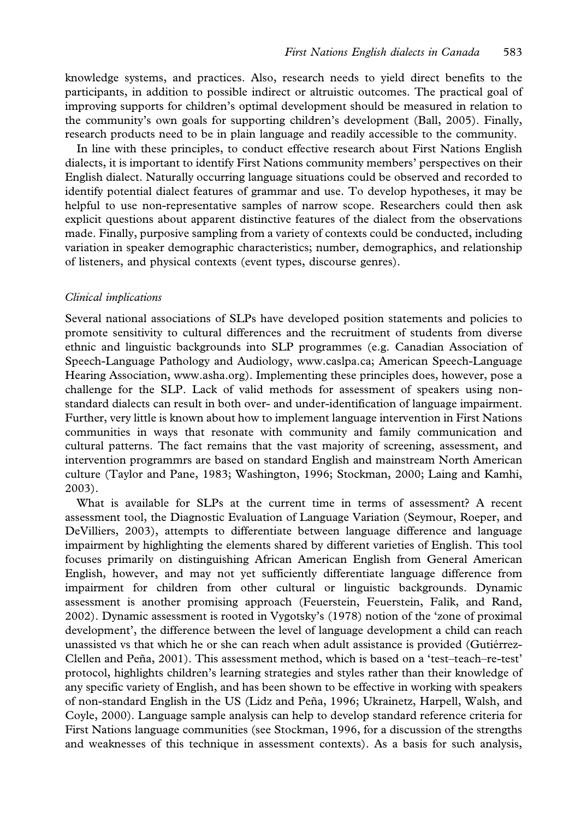knowledge systems, and practices. Also, research needs to yield direct benefits to the participants, in addition to possible indirect or altruistic outcomes. The practical goal of improving supports for children's optimal development should be measured in relation to the community's own goals for supporting children's development (Ball, 2005). Finally, research products need to be in plain language and readily accessible to the community.

In line with these principles, to conduct effective research about First Nations English dialects, it is important to identify First Nations community members' perspectives on their English dialect. Naturally occurring language situations could be observed and recorded to identify potential dialect features of grammar and use. To develop hypotheses, it may be helpful to use non-representative samples of narrow scope. Researchers could then ask explicit questions about apparent distinctive features of the dialect from the observations made. Finally, purposive sampling from a variety of contexts could be conducted, including variation in speaker demographic characteristics; number, demographics, and relationship of listeners, and physical contexts (event types, discourse genres).

#### Clinical implications

Several national associations of SLPs have developed position statements and policies to promote sensitivity to cultural differences and the recruitment of students from diverse ethnic and linguistic backgrounds into SLP programmes (e.g. Canadian Association of Speech-Language Pathology and Audiology, www.caslpa.ca; American Speech-Language Hearing Association, www.asha.org). Implementing these principles does, however, pose a challenge for the SLP. Lack of valid methods for assessment of speakers using nonstandard dialects can result in both over- and under-identification of language impairment. Further, very little is known about how to implement language intervention in First Nations communities in ways that resonate with community and family communication and cultural patterns. The fact remains that the vast majority of screening, assessment, and intervention programmrs are based on standard English and mainstream North American culture (Taylor and Pane, 1983; Washington, 1996; Stockman, 2000; Laing and Kamhi, 2003).

What is available for SLPs at the current time in terms of assessment? A recent assessment tool, the Diagnostic Evaluation of Language Variation (Seymour, Roeper, and DeVilliers, 2003), attempts to differentiate between language difference and language impairment by highlighting the elements shared by different varieties of English. This tool focuses primarily on distinguishing African American English from General American English, however, and may not yet sufficiently differentiate language difference from impairment for children from other cultural or linguistic backgrounds. Dynamic assessment is another promising approach (Feuerstein, Feuerstein, Falik, and Rand, 2002). Dynamic assessment is rooted in Vygotsky's (1978) notion of the 'zone of proximal development', the difference between the level of language development a child can reach unassisted vs that which he or she can reach when adult assistance is provided (Gutiérrez-Clellen and Peña, 2001). This assessment method, which is based on a 'test-teach-re-test' protocol, highlights children's learning strategies and styles rather than their knowledge of any specific variety of English, and has been shown to be effective in working with speakers of non-standard English in the US (Lidz and Peña, 1996; Ukrainetz, Harpell, Walsh, and Coyle, 2000). Language sample analysis can help to develop standard reference criteria for First Nations language communities (see Stockman, 1996, for a discussion of the strengths and weaknesses of this technique in assessment contexts). As a basis for such analysis,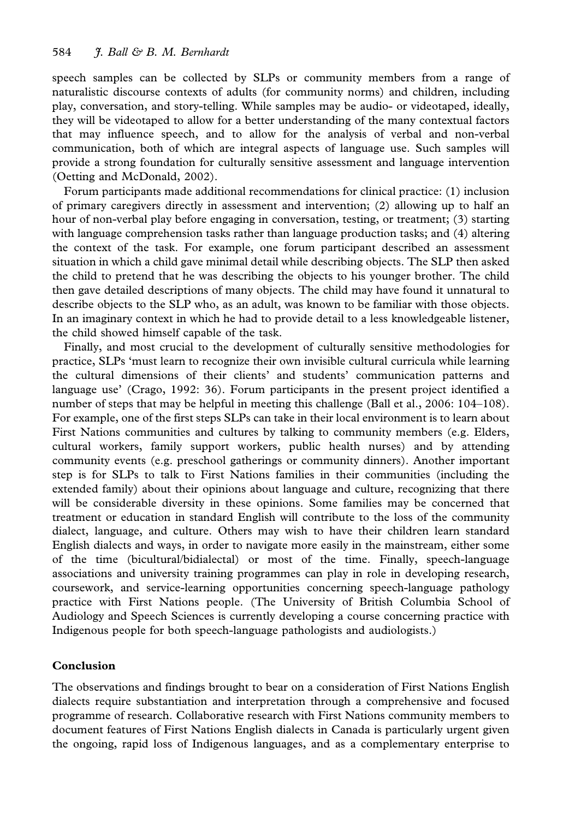speech samples can be collected by SLPs or community members from a range of naturalistic discourse contexts of adults (for community norms) and children, including play, conversation, and story-telling. While samples may be audio- or videotaped, ideally, they will be videotaped to allow for a better understanding of the many contextual factors that may influence speech, and to allow for the analysis of verbal and non-verbal communication, both of which are integral aspects of language use. Such samples will provide a strong foundation for culturally sensitive assessment and language intervention (Oetting and McDonald, 2002).

Forum participants made additional recommendations for clinical practice: (1) inclusion of primary caregivers directly in assessment and intervention; (2) allowing up to half an hour of non-verbal play before engaging in conversation, testing, or treatment; (3) starting with language comprehension tasks rather than language production tasks; and (4) altering the context of the task. For example, one forum participant described an assessment situation in which a child gave minimal detail while describing objects. The SLP then asked the child to pretend that he was describing the objects to his younger brother. The child then gave detailed descriptions of many objects. The child may have found it unnatural to describe objects to the SLP who, as an adult, was known to be familiar with those objects. In an imaginary context in which he had to provide detail to a less knowledgeable listener, the child showed himself capable of the task.

Finally, and most crucial to the development of culturally sensitive methodologies for practice, SLPs 'must learn to recognize their own invisible cultural curricula while learning the cultural dimensions of their clients' and students' communication patterns and language use' (Crago, 1992: 36). Forum participants in the present project identified a number of steps that may be helpful in meeting this challenge (Ball et al., 2006: 104–108). For example, one of the first steps SLPs can take in their local environment is to learn about First Nations communities and cultures by talking to community members (e.g. Elders, cultural workers, family support workers, public health nurses) and by attending community events (e.g. preschool gatherings or community dinners). Another important step is for SLPs to talk to First Nations families in their communities (including the extended family) about their opinions about language and culture, recognizing that there will be considerable diversity in these opinions. Some families may be concerned that treatment or education in standard English will contribute to the loss of the community dialect, language, and culture. Others may wish to have their children learn standard English dialects and ways, in order to navigate more easily in the mainstream, either some of the time (bicultural/bidialectal) or most of the time. Finally, speech-language associations and university training programmes can play in role in developing research, coursework, and service-learning opportunities concerning speech-language pathology practice with First Nations people. (The University of British Columbia School of Audiology and Speech Sciences is currently developing a course concerning practice with Indigenous people for both speech-language pathologists and audiologists.)

## Conclusion

The observations and findings brought to bear on a consideration of First Nations English dialects require substantiation and interpretation through a comprehensive and focused programme of research. Collaborative research with First Nations community members to document features of First Nations English dialects in Canada is particularly urgent given the ongoing, rapid loss of Indigenous languages, and as a complementary enterprise to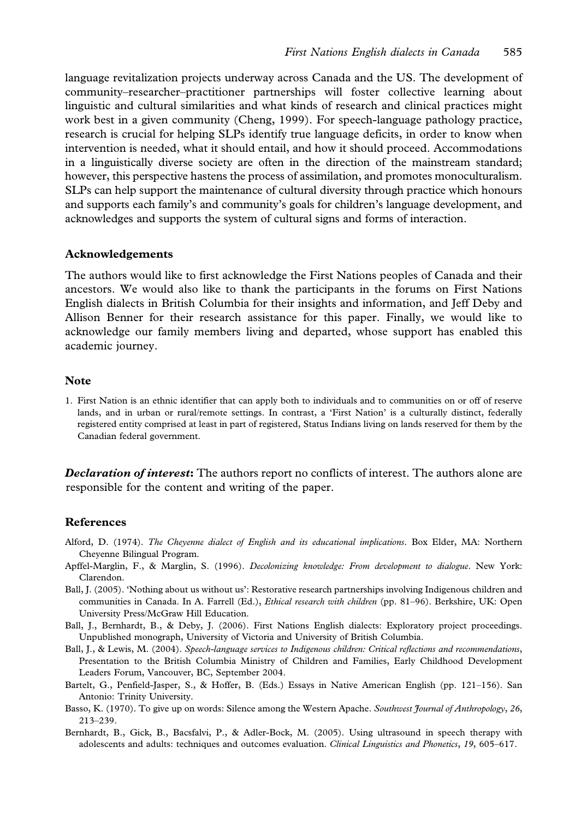language revitalization projects underway across Canada and the US. The development of community–researcher–practitioner partnerships will foster collective learning about linguistic and cultural similarities and what kinds of research and clinical practices might work best in a given community (Cheng, 1999). For speech-language pathology practice, research is crucial for helping SLPs identify true language deficits, in order to know when intervention is needed, what it should entail, and how it should proceed. Accommodations in a linguistically diverse society are often in the direction of the mainstream standard; however, this perspective hastens the process of assimilation, and promotes monoculturalism. SLPs can help support the maintenance of cultural diversity through practice which honours and supports each family's and community's goals for children's language development, and acknowledges and supports the system of cultural signs and forms of interaction.

#### Acknowledgements

The authors would like to first acknowledge the First Nations peoples of Canada and their ancestors. We would also like to thank the participants in the forums on First Nations English dialects in British Columbia for their insights and information, and Jeff Deby and Allison Benner for their research assistance for this paper. Finally, we would like to acknowledge our family members living and departed, whose support has enabled this academic journey.

#### Note

1. First Nation is an ethnic identifier that can apply both to individuals and to communities on or off of reserve lands, and in urban or rural/remote settings. In contrast, a 'First Nation' is a culturally distinct, federally registered entity comprised at least in part of registered, Status Indians living on lands reserved for them by the Canadian federal government.

**Declaration of interest:** The authors report no conflicts of interest. The authors alone are responsible for the content and writing of the paper.

## References

- Alford, D. (1974). The Cheyenne dialect of English and its educational implications. Box Elder, MA: Northern Cheyenne Bilingual Program.
- Apffel-Marglin, F., & Marglin, S. (1996). Decolonizing knowledge: From development to dialogue. New York: Clarendon.
- Ball, J. (2005). 'Nothing about us without us': Restorative research partnerships involving Indigenous children and communities in Canada. In A. Farrell (Ed.), *Ethical research with children* (pp. 81–96). Berkshire, UK: Open University Press/McGraw Hill Education.
- Ball, J., Bernhardt, B., & Deby, J. (2006). First Nations English dialects: Exploratory project proceedings. Unpublished monograph, University of Victoria and University of British Columbia.
- Ball, J., & Lewis, M. (2004). Speech-language services to Indigenous children: Critical reflections and recommendations, Presentation to the British Columbia Ministry of Children and Families, Early Childhood Development Leaders Forum, Vancouver, BC, September 2004.
- Bartelt, G., Penfield-Jasper, S., & Hoffer, B. (Eds.) Essays in Native American English (pp. 121–156). San Antonio: Trinity University.
- Basso, K. (1970). To give up on words: Silence among the Western Apache. Southwest *fournal of Anthropology*, 26, 213–239.
- Bernhardt, B., Gick, B., Bacsfalvi, P., & Adler-Bock, M. (2005). Using ultrasound in speech therapy with adolescents and adults: techniques and outcomes evaluation. Clinical Linguistics and Phonetics, 19, 605–617.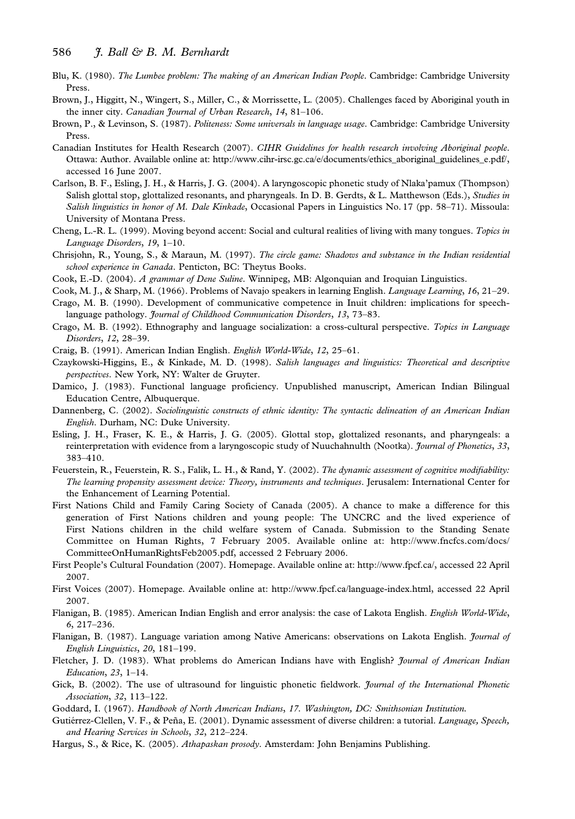- Blu, K. (1980). The Lumbee problem: The making of an American Indian People. Cambridge: Cambridge University Press.
- Brown, J., Higgitt, N., Wingert, S., Miller, C., & Morrissette, L. (2005). Challenges faced by Aboriginal youth in the inner city. Canadian Journal of Urban Research, 14, 81–106.
- Brown, P., & Levinson, S. (1987). Politeness: Some universals in language usage. Cambridge: Cambridge University Press.
- Canadian Institutes for Health Research (2007). CIHR Guidelines for health research involving Aboriginal people. Ottawa: Author. Available online at: http://www.cihr-irsc.gc.ca/e/documents/ethics\_aboriginal\_guidelines\_e.pdf/, accessed 16 June 2007.
- Carlson, B. F., Esling, J. H., & Harris, J. G. (2004). A laryngoscopic phonetic study of Nlaka'pamux (Thompson) Salish glottal stop, glottalized resonants, and pharyngeals. In D. B. Gerdts, & L. Matthewson (Eds.), Studies in Salish linguistics in honor of M. Dale Kinkade, Occasional Papers in Linguistics No. 17 (pp. 58–71). Missoula: University of Montana Press.
- Cheng, L.-R. L. (1999). Moving beyond accent: Social and cultural realities of living with many tongues. Topics in Language Disorders, 19, 1–10.
- Chrisjohn, R., Young, S., & Maraun, M. (1997). The circle game: Shadows and substance in the Indian residential school experience in Canada. Penticton, BC: Theytus Books.
- Cook, E.-D. (2004). A grammar of Dene Suline. Winnipeg, MB: Algonquian and Iroquian Linguistics.
- Cook, M. J., & Sharp, M. (1966). Problems of Navajo speakers in learning English. Language Learning, 16, 21–29.
- Crago, M. B. (1990). Development of communicative competence in Inuit children: implications for speechlanguage pathology. Journal of Childhood Communication Disorders, 13, 73–83.
- Crago, M. B. (1992). Ethnography and language socialization: a cross-cultural perspective. Topics in Language Disorders, 12, 28–39.
- Craig, B. (1991). American Indian English. English World-Wide, 12, 25–61.
- Czaykowski-Higgins, E., & Kinkade, M. D. (1998). Salish languages and linguistics: Theoretical and descriptive perspectives. New York, NY: Walter de Gruyter.
- Damico, J. (1983). Functional language proficiency. Unpublished manuscript, American Indian Bilingual Education Centre, Albuquerque.
- Dannenberg, C. (2002). Sociolinguistic constructs of ethnic identity: The syntactic delineation of an American Indian English. Durham, NC: Duke University.
- Esling, J. H., Fraser, K. E., & Harris, J. G. (2005). Glottal stop, glottalized resonants, and pharyngeals: a reinterpretation with evidence from a laryngoscopic study of Nuuchahnulth (Nootka). *Journal of Phonetics*, 33, 383–410.
- Feuerstein, R., Feuerstein, R. S., Falik, L. H., & Rand, Y. (2002). The dynamic assessment of cognitive modifiability: The learning propensity assessment device: Theory, instruments and techniques. Jerusalem: International Center for the Enhancement of Learning Potential.
- First Nations Child and Family Caring Society of Canada (2005). A chance to make a difference for this generation of First Nations children and young people: The UNCRC and the lived experience of First Nations children in the child welfare system of Canada. Submission to the Standing Senate Committee on Human Rights, 7 February 2005. Available online at: http://www.fncfcs.com/docs/ CommitteeOnHumanRightsFeb2005.pdf, accessed 2 February 2006.
- First People's Cultural Foundation (2007). Homepage. Available online at: http://www.fpcf.ca/, accessed 22 April 2007.
- First Voices (2007). Homepage. Available online at: http://www.fpcf.ca/language-index.html, accessed 22 April 2007.
- Flanigan, B. (1985). American Indian English and error analysis: the case of Lakota English. English World-Wide, 6, 217–236.
- Flanigan, B. (1987). Language variation among Native Americans: observations on Lakota English. Journal of English Linguistics, 20, 181–199.
- Fletcher, J. D. (1983). What problems do American Indians have with English? Journal of American Indian Education, 23, 1–14.
- Gick, B. (2002). The use of ultrasound for linguistic phonetic fieldwork. Journal of the International Phonetic Association, 32, 113–122.
- Goddard, I. (1967). Handbook of North American Indians, 17. Washington, DC: Smithsonian Institution.
- Gutiérrez-Clellen, V. F., & Peña, E. (2001). Dynamic assessment of diverse children: a tutorial. Language, Speech, and Hearing Services in Schools, 32, 212–224.
- Hargus, S., & Rice, K. (2005). Athapaskan prosody. Amsterdam: John Benjamins Publishing.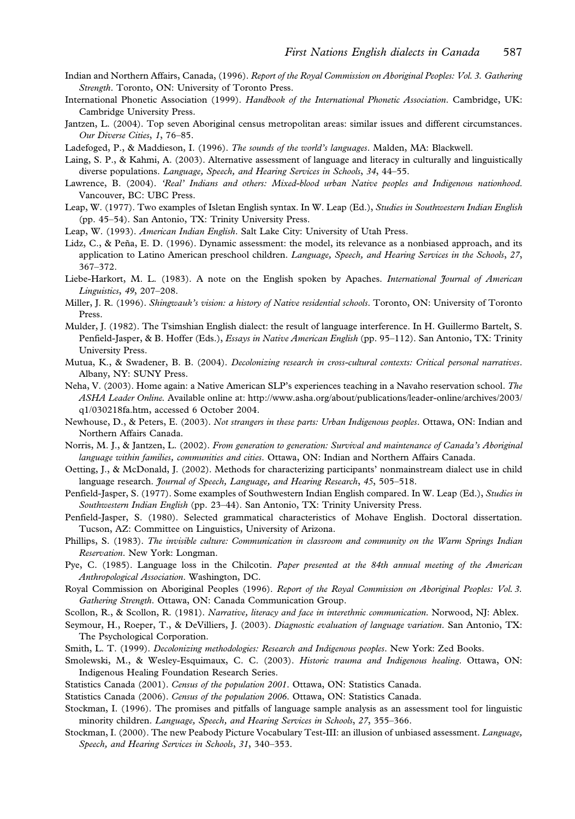- Indian and Northern Affairs, Canada, (1996). Report of the Royal Commission on Aboriginal Peoples: Vol. 3. Gathering Strength. Toronto, ON: University of Toronto Press.
- International Phonetic Association (1999). Handbook of the International Phonetic Association. Cambridge, UK: Cambridge University Press.
- Jantzen, L. (2004). Top seven Aboriginal census metropolitan areas: similar issues and different circumstances. Our Diverse Cities, 1, 76–85.
- Ladefoged, P., & Maddieson, I. (1996). The sounds of the world's languages. Malden, MA: Blackwell.
- Laing, S. P., & Kahmi, A. (2003). Alternative assessment of language and literacy in culturally and linguistically diverse populations. Language, Speech, and Hearing Services in Schools, 34, 44–55.
- Lawrence, B. (2004). 'Real' Indians and others: Mixed-blood urban Native peoples and Indigenous nationhood. Vancouver, BC: UBC Press.
- Leap, W. (1977). Two examples of Isletan English syntax. In W. Leap (Ed.), Studies in Southwestern Indian English (pp. 45–54). San Antonio, TX: Trinity University Press.
- Leap, W. (1993). American Indian English. Salt Lake City: University of Utah Press.
- Lidz, C., & Peña, E. D. (1996). Dynamic assessment: the model, its relevance as a nonbiased approach, and its application to Latino American preschool children. Language, Speech, and Hearing Services in the Schools, 27, 367–372.
- Liebe-Harkort, M. L. (1983). A note on the English spoken by Apaches. International Journal of American Linguistics, 49, 207–208.
- Miller, J. R. (1996). Shingwauk's vision: a history of Native residential schools. Toronto, ON: University of Toronto Press.
- Mulder, J. (1982). The Tsimshian English dialect: the result of language interference. In H. Guillermo Bartelt, S. Penfield-Jasper, & B. Hoffer (Eds.), Essays in Native American English (pp. 95-112). San Antonio, TX: Trinity University Press.
- Mutua, K., & Swadener, B. B. (2004). *Decolonizing research in cross-cultural contexts: Critical personal narratives.* Albany, NY: SUNY Press.
- Neha, V. (2003). Home again: a Native American SLP's experiences teaching in a Navaho reservation school. The ASHA Leader Online. Available online at: http://www.asha.org/about/publications/leader-online/archives/2003/ q1/030218fa.htm, accessed 6 October 2004.
- Newhouse, D., & Peters, E. (2003). Not strangers in these parts: Urban Indigenous peoples. Ottawa, ON: Indian and Northern Affairs Canada.
- Norris, M. J., & Jantzen, L. (2002). From generation to generation: Survival and maintenance of Canada's Aboriginal language within families, communities and cities. Ottawa, ON: Indian and Northern Affairs Canada.
- Oetting, J., & McDonald, J. (2002). Methods for characterizing participants' nonmainstream dialect use in child language research. Journal of Speech, Language, and Hearing Research, 45, 505-518.
- Penfield-Jasper, S. (1977). Some examples of Southwestern Indian English compared. In W. Leap (Ed.), Studies in Southwestern Indian English (pp. 23–44). San Antonio, TX: Trinity University Press.
- Penfield-Jasper, S. (1980). Selected grammatical characteristics of Mohave English. Doctoral dissertation. Tucson, AZ: Committee on Linguistics, University of Arizona.
- Phillips, S. (1983). The invisible culture: Communication in classroom and community on the Warm Springs Indian Reservation. New York: Longman.
- Pye, C. (1985). Language loss in the Chilcotin. Paper presented at the 84th annual meeting of the American Anthropological Association. Washington, DC.
- Royal Commission on Aboriginal Peoples (1996). Report of the Royal Commission on Aboriginal Peoples: Vol. 3. Gathering Strength. Ottawa, ON: Canada Communication Group.
- Scollon, R., & Scollon, R. (1981). Narrative, literacy and face in interethnic communication. Norwood, NJ: Ablex.
- Seymour, H., Roeper, T., & DeVilliers, J. (2003). Diagnostic evaluation of language variation. San Antonio, TX: The Psychological Corporation.
- Smith, L. T. (1999). *Decolonizing methodologies: Research and Indigenous peoples*. New York: Zed Books.
- Smolewski, M., & Wesley-Esquimaux, C. C. (2003). Historic trauma and Indigenous healing. Ottawa, ON: Indigenous Healing Foundation Research Series.
- Statistics Canada (2001). Census of the population 2001. Ottawa, ON: Statistics Canada.
- Statistics Canada (2006). Census of the population 2006. Ottawa, ON: Statistics Canada.
- Stockman, I. (1996). The promises and pitfalls of language sample analysis as an assessment tool for linguistic minority children. Language, Speech, and Hearing Services in Schools, 27, 355–366.
- Stockman, I. (2000). The new Peabody Picture Vocabulary Test-III: an illusion of unbiased assessment. Language, Speech, and Hearing Services in Schools, 31, 340–353.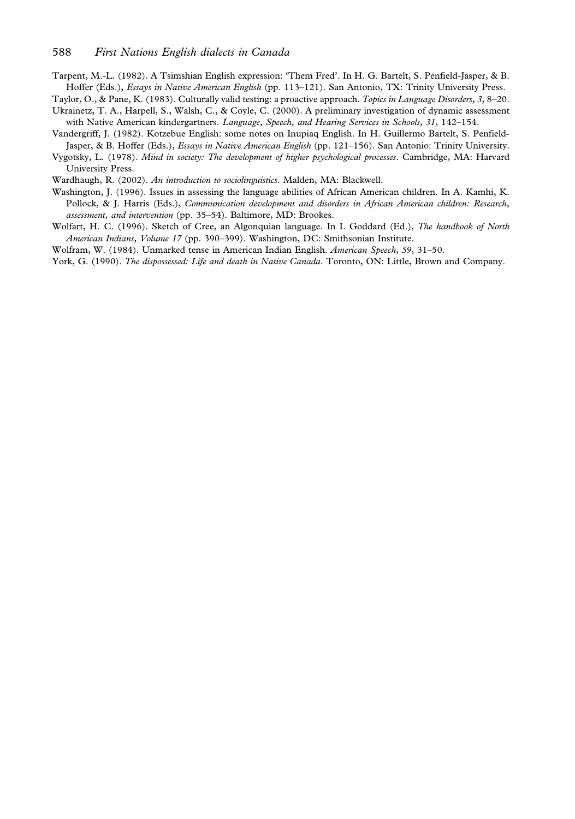Tarpent, M.-L. (1982). A Tsimshian English expression: 'Them Fred'. In H. G. Bartelt, S. Penfield-Jasper, & B. Hoffer (Eds.), Essays in Native American English (pp. 113–121). San Antonio, TX: Trinity University Press.

Taylor, O., & Pane, K. (1983). Culturally valid testing: a proactive approach. Topics in Language Disorders, 3, 8–20. Ukrainetz, T. A., Harpell, S., Walsh, C., & Coyle, C. (2000). A preliminary investigation of dynamic assessment

with Native American kindergartners. Language, Speech, and Hearing Services in Schools, 31, 142-154.

Vandergriff, J. (1982). Kotzebue English: some notes on Inupiaq English. In H. Guillermo Bartelt, S. Penfield-

Jasper, & B. Hoffer (Eds.), Essays in Native American English (pp. 121-156). San Antonio: Trinity University. Vygotsky, L. (1978). Mind in society: The development of higher psychological processes. Cambridge, MA: Harvard University Press.

Wardhaugh, R. (2002). An introduction to sociolinguistics. Malden, MA: Blackwell.

- Washington, J. (1996). Issues in assessing the language abilities of African American children. In A. Kamhi, K. Pollock, & J. Harris (Eds.), Communication development and disorders in African American children: Research, assessment, and intervention (pp. 35–54). Baltimore, MD: Brookes.
- Wolfart, H. C. (1996). Sketch of Cree, an Algonquian language. In I. Goddard (Ed.), The handbook of North American Indians, Volume 17 (pp. 390–399). Washington, DC: Smithsonian Institute.

Wolfram, W. (1984). Unmarked tense in American Indian English. American Speech, 59, 31–50.

York, G. (1990). The dispossessed: Life and death in Native Canada. Toronto, ON: Little, Brown and Company.